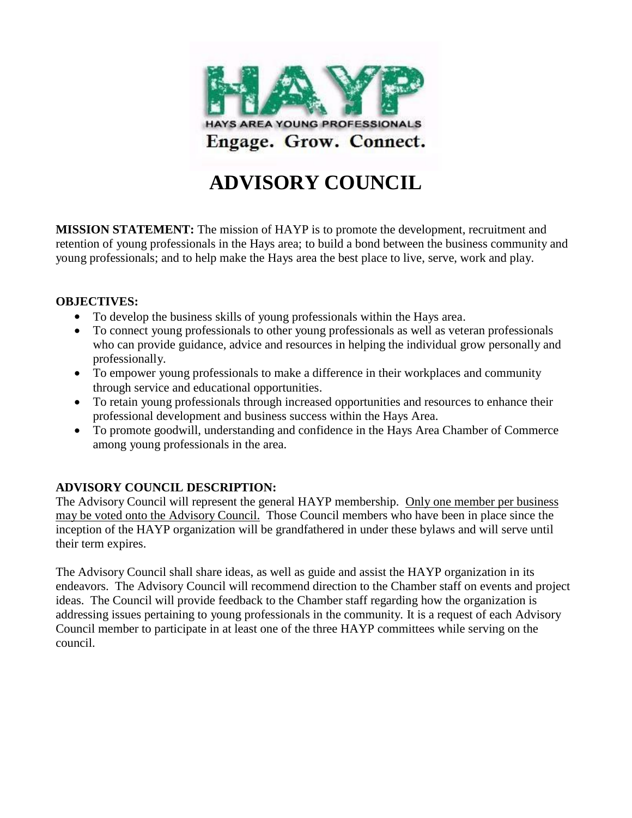

# **ADVISORY COUNCIL**

**MISSION STATEMENT:** The mission of HAYP is to promote the development, recruitment and retention of young professionals in the Hays area; to build a bond between the business community and young professionals; and to help make the Hays area the best place to live, serve, work and play.

### **OBJECTIVES:**

- To develop the business skills of young professionals within the Hays area.
- To connect young professionals to other young professionals as well as veteran professionals who can provide guidance, advice and resources in helping the individual grow personally and professionally.
- To empower young professionals to make a difference in their workplaces and community through service and educational opportunities.
- To retain young professionals through increased opportunities and resources to enhance their professional development and business success within the Hays Area.
- To promote goodwill, understanding and confidence in the Hays Area Chamber of Commerce among young professionals in the area.

### **ADVISORY COUNCIL DESCRIPTION:**

The Advisory Council will represent the general HAYP membership. Only one member per business may be voted onto the Advisory Council. Those Council members who have been in place since the inception of the HAYP organization will be grandfathered in under these bylaws and will serve until their term expires.

The Advisory Council shall share ideas, as well as guide and assist the HAYP organization in its endeavors. The Advisory Council will recommend direction to the Chamber staff on events and project ideas. The Council will provide feedback to the Chamber staff regarding how the organization is addressing issues pertaining to young professionals in the community. It is a request of each Advisory Council member to participate in at least one of the three HAYP committees while serving on the council.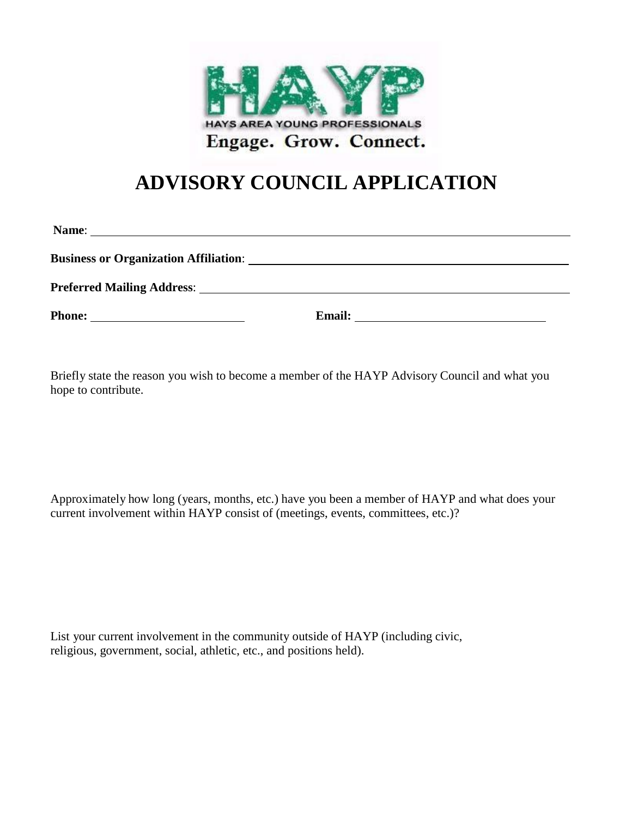

## **ADVISORY COUNCIL APPLICATION**

| Name:                                        |        |
|----------------------------------------------|--------|
| <b>Business or Organization Affiliation:</b> |        |
|                                              |        |
|                                              | Email: |

Briefly state the reason you wish to become a member of the HAYP Advisory Council and what you hope to contribute.

Approximately how long (years, months, etc.) have you been a member of HAYP and what does your current involvement within HAYP consist of (meetings, events, committees, etc.)?

List your current involvement in the community outside of HAYP (including civic, religious, government, social, athletic, etc., and positions held).